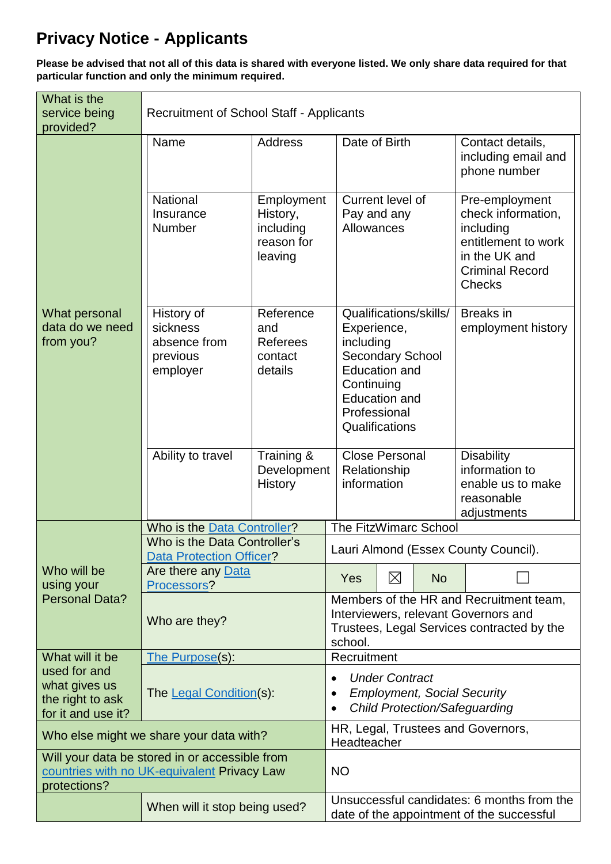## **Privacy Notice - Applicants**

**Please be advised that not all of this data is shared with everyone listed. We only share data required for that particular function and only the minimum required.**

| What is the<br>service being<br>provided?                                                                     | <b>Recruitment of School Staff - Applicants</b>                |                                                                                                                                          |                                                                                                                                                     |                                                      |                        |                                                                                                                                      |  |  |  |  |
|---------------------------------------------------------------------------------------------------------------|----------------------------------------------------------------|------------------------------------------------------------------------------------------------------------------------------------------|-----------------------------------------------------------------------------------------------------------------------------------------------------|------------------------------------------------------|------------------------|--------------------------------------------------------------------------------------------------------------------------------------|--|--|--|--|
|                                                                                                               | <b>Address</b><br>Name                                         |                                                                                                                                          | Date of Birth                                                                                                                                       |                                                      |                        | Contact details,<br>including email and<br>phone number                                                                              |  |  |  |  |
| What personal<br>data do we need<br>from you?                                                                 | National<br>Insurance<br>Number                                | Employment<br>History,<br>including<br>reason for<br>leaving                                                                             | Current level of<br>Pay and any<br>Allowances                                                                                                       |                                                      |                        | Pre-employment<br>check information,<br>including<br>entitlement to work<br>in the UK and<br><b>Criminal Record</b><br><b>Checks</b> |  |  |  |  |
|                                                                                                               | History of<br>sickness<br>absence from<br>previous<br>employer | Reference<br>and<br><b>Referees</b><br>contact<br>details                                                                                | Experience,<br>including<br><b>Secondary School</b><br><b>Education and</b><br>Continuing<br><b>Education and</b><br>Professional<br>Qualifications |                                                      | Qualifications/skills/ | <b>Breaks</b> in<br>employment history                                                                                               |  |  |  |  |
|                                                                                                               | Ability to travel                                              | Training &<br>Development<br><b>History</b>                                                                                              |                                                                                                                                                     | <b>Close Personal</b><br>Relationship<br>information |                        | <b>Disability</b><br>information to<br>enable us to make<br>reasonable<br>adjustments                                                |  |  |  |  |
|                                                                                                               | Who is the Data Controller?<br>Who is the Data Controller's    | The FitzWimarc School                                                                                                                    |                                                                                                                                                     |                                                      |                        |                                                                                                                                      |  |  |  |  |
|                                                                                                               | Data Protection Officer?                                       | Lauri Almond (Essex County Council).                                                                                                     |                                                                                                                                                     |                                                      |                        |                                                                                                                                      |  |  |  |  |
| Who will be<br>using your<br><b>Personal Data?</b>                                                            | Are there any Data<br>Processors?                              |                                                                                                                                          | Yes                                                                                                                                                 | $\boxtimes$                                          | <b>No</b>              |                                                                                                                                      |  |  |  |  |
|                                                                                                               | Who are they?                                                  | Members of the HR and Recruitment team,<br>Interviewers, relevant Governors and<br>Trustees, Legal Services contracted by the<br>school. |                                                                                                                                                     |                                                      |                        |                                                                                                                                      |  |  |  |  |
| What will it be                                                                                               | The Purpose(s):                                                |                                                                                                                                          |                                                                                                                                                     |                                                      | Recruitment            |                                                                                                                                      |  |  |  |  |
| used for and<br>what gives us<br>the right to ask<br>for it and use it?                                       | The Legal Condition(s):                                        | <b>Under Contract</b><br><b>Employment, Social Security</b><br><b>Child Protection/Safeguarding</b>                                      |                                                                                                                                                     |                                                      |                        |                                                                                                                                      |  |  |  |  |
| Who else might we share your data with?                                                                       |                                                                |                                                                                                                                          | HR, Legal, Trustees and Governors,<br>Headteacher                                                                                                   |                                                      |                        |                                                                                                                                      |  |  |  |  |
| Will your data be stored in or accessible from<br>countries with no UK-equivalent Privacy Law<br>protections? |                                                                | <b>NO</b>                                                                                                                                |                                                                                                                                                     |                                                      |                        |                                                                                                                                      |  |  |  |  |
|                                                                                                               | When will it stop being used?                                  | Unsuccessful candidates: 6 months from the<br>date of the appointment of the successful                                                  |                                                                                                                                                     |                                                      |                        |                                                                                                                                      |  |  |  |  |